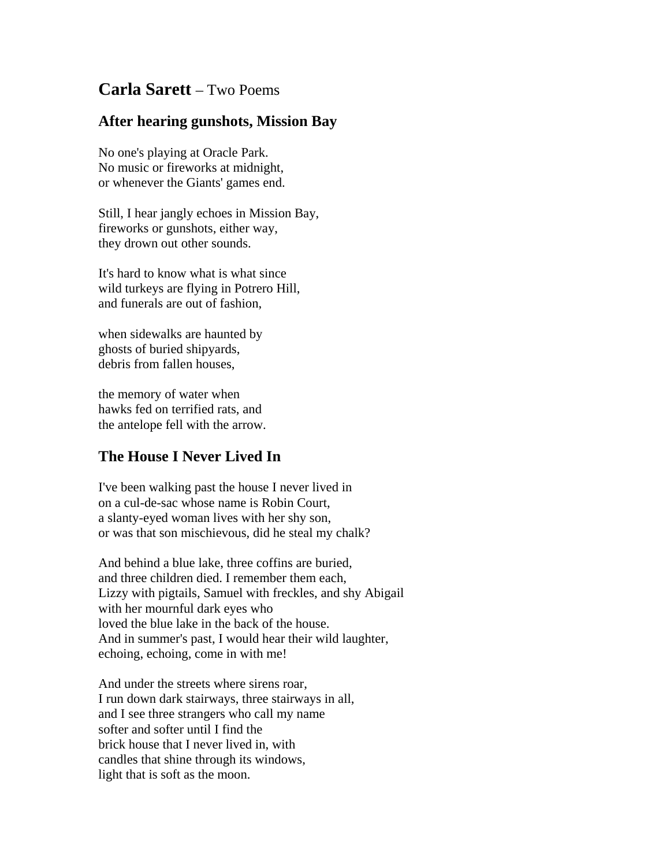## **Carla Sarett** – Two Poems

## **After hearing gunshots, Mission Bay**

No one's playing at Oracle Park. No music or fireworks at midnight, or whenever the Giants' games end.

Still, I hear jangly echoes in Mission Bay, fireworks or gunshots, either way, they drown out other sounds.

It's hard to know what is what since wild turkeys are flying in Potrero Hill, and funerals are out of fashion,

when sidewalks are haunted by ghosts of buried shipyards, debris from fallen houses,

the memory of water when hawks fed on terrified rats, and the antelope fell with the arrow.

## **The House I Never Lived In**

I've been walking past the house I never lived in on a cul-de-sac whose name is Robin Court, a slanty-eyed woman lives with her shy son, or was that son mischievous, did he steal my chalk?

And behind a blue lake, three coffins are buried, and three children died. I remember them each, Lizzy with pigtails, Samuel with freckles, and shy Abigail with her mournful dark eyes who loved the blue lake in the back of the house. And in summer's past, I would hear their wild laughter, echoing, echoing, come in with me!

And under the streets where sirens roar, I run down dark stairways, three stairways in all, and I see three strangers who call my name softer and softer until I find the brick house that I never lived in, with candles that shine through its windows, light that is soft as the moon.